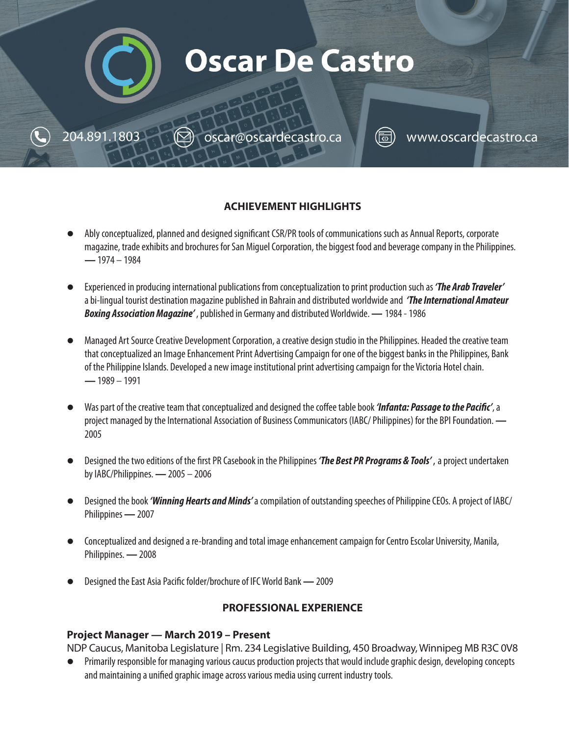

www.oscardecastro.ca

oscar@oscardecastro.ca

204.891.1803

## **ACHIEVEMENT HIGHLIGHTS**

- l Ably conceptualized, planned and designed significant CSR/PR tools of communications such as Annual Reports, corporate magazine, trade exhibits and brochures for San Miguel Corporation, the biggest food and beverage company in the Philippines. **—** 1974 – 1984
- l Experienced in producing international publications from conceptualization to print production such as *'The Arab Traveler'* a bi-lingual tourist destination magazine published in Bahrain and distributed worldwide and *'The International Amateur Boxing Association Magazine'* , published in Germany and distributed Worldwide. **—** 1984 - 1986
- l Managed Art Source Creative Development Corporation, a creative design studio in the Philippines. Headed the creative team that conceptualized an Image Enhancement Print Advertising Campaign for one of the biggest banks in the Philippines, Bank of the Philippine Islands. Developed a new image institutional print advertising campaign for the Victoria Hotel chain. **—** 1989 – 1991
- l Was part of the creative team that conceptualized and designed the coffee table book *'Infanta: Passage to the Pacific'*, a project managed by the International Association of Business Communicators (IABC/ Philippines) for the BPI Foundation. **—** 2005
- l Designed the two editions of the first PR Casebook in the Philippines *'The Best PR Programs & Tools'* , a project undertaken by IABC/Philippines. **—** 2005 – 2006
- l Designed the book *'Winning Hearts and Minds'* a compilation of outstanding speeches of Philippine CEOs. A project of IABC/ Philippines **—** 2007
- l Conceptualized and designed a re-branding and total image enhancement campaign for Centro Escolar University, Manila, Philippines. **—** 2008
- l Designed the East Asia Pacific folder/brochure of IFC World Bank **—** 2009

#### **PROFESSIONAL EXPERIENCE**

#### **Project Manager — March 2019 – Present**

NDP Caucus, Manitoba Legislature | Rm. 234 Legislative Building, 450 Broadway, Winnipeg MB R3C 0V8

l Primarily responsible for managing various caucus production projects that would include graphic design, developing concepts and maintaining a unified graphic image across various media using current industry tools.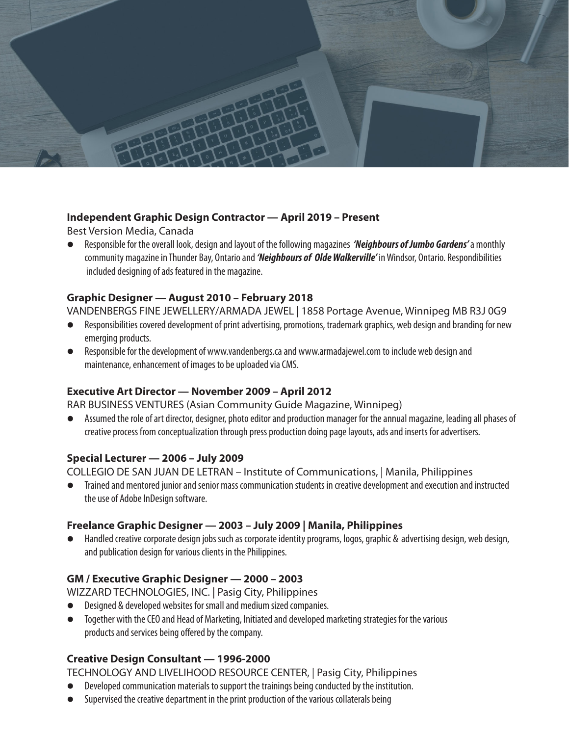

#### **Independent Graphic Design Contractor — April 2019 – Present**

Best Version Media, Canada

l Responsible for the overall look, design and layout of the following magazines *'Neighbours of Jumbo Gardens'* a monthly community magazine in Thunder Bay, Ontario and *'Neighbours of Olde Walkerville'* in Windsor, Ontario. Respondibilities included designing of ads featured in the magazine.

#### **Graphic Designer — August 2010 – February 2018**

VANDENBERGS FINE JEWELLERY/ARMADA JEWEL | 1858 Portage Avenue, Winnipeg MB R3J 0G9

- **•** Responsibilities covered development of print advertising, promotions, trademark graphics, web design and branding for new emerging products.
- **•** Responsible for the development of www.vandenbergs.ca and www.armadajewel.com to include web design and maintenance, enhancement of images to be uploaded via CMS.

#### **Executive Art Director — November 2009 – April 2012**

RAR BUSINESS VENTURES (Asian Community Guide Magazine, Winnipeg)

l Assumed the role of art director, designer, photo editor and production manager for the annual magazine, leading all phases of creative process from conceptualization through press production doing page layouts, ads and inserts for advertisers.

#### **Special Lecturer — 2006 – July 2009**

COLLEGIO DE SAN JUAN DE LETRAN – Institute of Communications, | Manila, Philippines

 $\bullet$  Trained and mentored junior and senior mass communication students in creative development and execution and instructed the use of Adobe InDesign software.

#### **Freelance Graphic Designer — 2003 – July 2009 | Manila, Philippines**

Handled creative corporate design jobs such as corporate identity programs, logos, graphic & advertising design, web design, and publication design for various clients in the Philippines.

#### **GM / Executive Graphic Designer — 2000 – 2003**

WIZZARD TECHNOLOGIES, INC. | Pasig City, Philippines

- Designed & developed websites for small and medium sized companies.
- $\bullet$  Together with the CEO and Head of Marketing, Initiated and developed marketing strategies for the various products and services being offered by the company.

# **Creative Design Consultant — 1996-2000**

TECHNOLOGY AND LIVELIHOOD RESOURCE CENTER, | Pasig City, Philippines

- $\bullet$  Developed communication materials to support the trainings being conducted by the institution.
- Supervised the creative department in the print production of the various collaterals being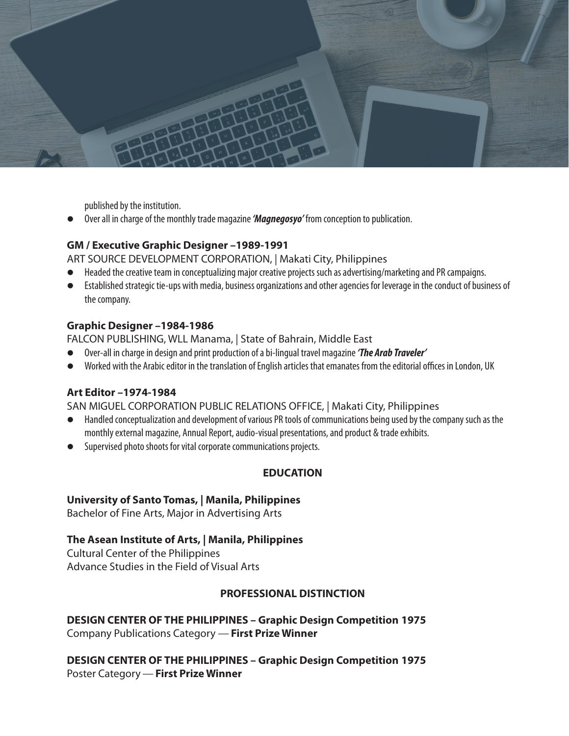

published by the institution.

l Over all in charge of the monthly trade magazine *'Magnegosyo'* from conception to publication.

#### **GM / Executive Graphic Designer –1989-1991**

ART SOURCE DEVELOPMENT CORPORATION, | Makati City, Philippines

- l Headed the creative team in conceptualizing major creative projects such as advertising/marketing and PR campaigns.
- l Established strategic tie-ups with media, business organizations and other agencies for leverage in the conduct of business of the company.

## **Graphic Designer –1984-1986**

FALCON PUBLISHING, WLL Manama, | State of Bahrain, Middle East

- l Over-all in charge in design and print production of a bi-lingual travel magazine *'The Arab Traveler'*
- l Worked with the Arabic editor in the translation of English articles that emanates from the editorial offices in London, UK

#### **Art Editor –1974-1984**

SAN MIGUEL CORPORATION PUBLIC RELATIONS OFFICE, | Makati City, Philippines

- l Handled conceptualization and development of various PR tools of communications being used by the company such as the monthly external magazine, Annual Report, audio-visual presentations, and product & trade exhibits.
- **.** Supervised photo shoots for vital corporate communications projects.

# **EDUCATION**

#### **University of Santo Tomas, | Manila, Philippines**

Bachelor of Fine Arts, Major in Advertising Arts

# **The Asean Institute of Arts, | Manila, Philippines**

Cultural Center of the Philippines Advance Studies in the Field of Visual Arts

#### **PROFESSIONAL DISTINCTION**

**DESIGN CENTER OF THE PHILIPPINES – Graphic Design Competition 1975** Company Publications Category — **First Prize Winner**

**DESIGN CENTER OF THE PHILIPPINES – Graphic Design Competition 1975** Poster Category — **First Prize Winner**